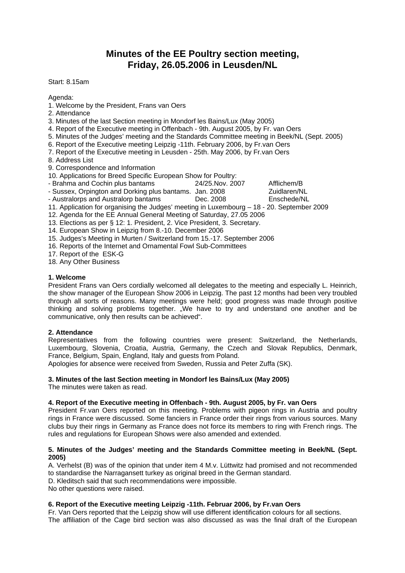# **Minutes of the EE Poultry section meeting, Friday, 26.05.2006 in Leusden/NL**

Start: 8.15am

Agenda:

- 1. Welcome by the President, Frans van Oers
- 2. Attendance
- 3. Minutes of the last Section meeting in Mondorf les Bains/Lux (May 2005)
- 4. Report of the Executive meeting in Offenbach 9th. August 2005, by Fr. van Oers
- 5. Minutes of the Judges' meeting and the Standards Committee meeting in Beek/NL (Sept. 2005)
- 6. Report of the Executive meeting Leipzig -11th. February 2006, by Fr.van Oers
- 7. Report of the Executive meeting in Leusden 25th. May 2006, by Fr.van Oers
- 8. Address List
- 9. Correspondence and Information
- 10. Applications for Breed Specific European Show for Poultry:
- 
- Brahma and Cochin plus bantams 24/25.Nov. 2007 Afflichem/B<br>- Sussex Orpington and Dorking plus bantams Jan. 2008 Zuidlaren/NI - Sussex, Orpington and Dorking plus bantams. Jan. 2008
- Australorps and Australorp bantams Dec. 2008 Enschede/NL
- 11. Application for organising the Judges' meeting in Luxembourg 18 20. September 2009
- 12. Agenda for the EE Annual General Meeting of Saturday, 27.05 2006
- 13. Elections as per § 12: 1. President, 2. Vice President, 3. Secretary.
- 14. European Show in Leipzig from 8.-10. December 2006
- 15. Judges's Meeting in Murten / Switzerland from 15.-17. September 2006
- 16. Reports of the Internet and Ornamental Fowl Sub-Committees
- 17. Report of the ESK-G
- 18. Any Other Business

#### **1. Welcome**

President Frans van Oers cordially welcomed all delegates to the meeting and especially L. Heinrich, the show manager of the European Show 2006 in Leipzig. The past 12 months had been very troubled through all sorts of reasons. Many meetings were held; good progress was made through positive thinking and solving problems together. "We have to try and understand one another and be communicative, only then results can be achieved".

#### **2. Attendance**

Representatives from the following countries were present: Switzerland, the Netherlands, Luxembourg, Slovenia, Croatia, Austria, Germany, the Czech and Slovak Republics, Denmark, France, Belgium, Spain, England, Italy and guests from Poland.

Apologies for absence were received from Sweden, Russia and Peter Zuffa (SK).

#### **3. Minutes of the last Section meeting in Mondorf les Bains/Lux (May 2005)**

The minutes were taken as read.

#### **4. Report of the Executive meeting in Offenbach - 9th. August 2005, by Fr. van Oers**

President Fr.van Oers reported on this meeting. Problems with pigeon rings in Austria and poultry rings in France were discussed. Some fanciers in France order their rings from various sources. Many clubs buy their rings in Germany as France does not force its members to ring with French rings. The rules and regulations for European Shows were also amended and extended.

#### **5. Minutes of the Judges' meeting and the Standards Committee meeting in Beek/NL (Sept. 2005)**

A. Verhelst (B) was of the opinion that under item 4 M.v. Lüttwitz had promised and not recommended to standardise the Narragansett turkey as original breed in the German standard.

D. Kleditsch said that such recommendations were impossible.

No other questions were raised.

# **6. Report of the Executive meeting Leipzig -11th. Februar 2006, by Fr.van Oers**

Fr. Van Oers reported that the Leipzig show will use different identification colours for all sections. The affiliation of the Cage bird section was also discussed as was the final draft of the European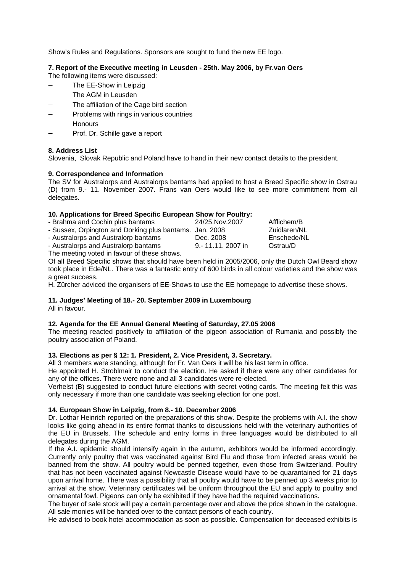Show's Rules and Regulations. Sponsors are sought to fund the new EE logo.

# **7. Report of the Executive meeting in Leusden - 25th. May 2006, by Fr.van Oers**

The following items were discussed:

- − The EE-Show in Leipzig
- − The AGM in Leusden
- The affiliation of the Cage bird section
- Problems with rings in various countries
- − Honours
- − Prof. Dr. Schille gave a report

# **8. Address List**

Slovenia, Slovak Republic and Poland have to hand in their new contact details to the president.

# **9. Correspondence and Information**

The SV for Australorps and Australorps bantams had applied to host a Breed Specific show in Ostrau (D) from 9.- 11. November 2007. Frans van Oers would like to see more commitment from all delegates.

#### **10. Applications for Breed Specific European Show for Poultry:**

| - Brahma and Cochin plus bantams                        | 24/25. Nov. 2007 | Afflichem/B  |
|---------------------------------------------------------|------------------|--------------|
| - Sussex, Orpington and Dorking plus bantams. Jan. 2008 |                  | Zuidlaren/NL |
| - Australorps and Australorp bantams                    | Dec. 2008        | Enschede/NL  |
| - Australorps and Australorp bantams                    | 9.-11.11.2007 in | Ostrau/D     |
| The measure used in fourain of these should             |                  |              |

The meeting voted in favour of these shows.

Of all Breed Specific shows that should have been held in 2005/2006, only the Dutch Owl Beard show took place in Ede/NL. There was a fantastic entry of 600 birds in all colour varieties and the show was a great success.

H. Zürcher adviced the organisers of EE-Shows to use the EE homepage to advertise these shows.

# **11. Judges' Meeting of 18.- 20. September 2009 in Luxembourg**

All in favour.

# **12. Agenda for the EE Annual General Meeting of Saturday, 27.05 2006**

The meeting reacted positively to affiliation of the pigeon association of Rumania and possibly the poultry association of Poland.

# **13. Elections as per § 12: 1. President, 2. Vice President, 3. Secretary.**

All 3 members were standing, although for Fr. Van Oers it will be his last term in office.

He appointed H. Stroblmair to conduct the election. He asked if there were any other candidates for any of the offices. There were none and all 3 candidates were re-elected.

Verhelst (B) suggested to conduct future elections with secret voting cards. The meeting felt this was only necessary if more than one candidate was seeking election for one post.

# **14. European Show in Leipzig, from 8.- 10. December 2006**

Dr. Lothar Heinrich reported on the preparations of this show. Despite the problems with A.I. the show looks like going ahead in its entire format thanks to discussions held with the veterinary authorities of the EU in Brussels. The schedule and entry forms in three languages would be distributed to all delegates during the AGM.

If the A.I. epidemic should intensify again in the autumn, exhibitors would be informed accordingly. Currently only poultry that was vaccinated against Bird Flu and those from infected areas would be banned from the show. All poultry would be penned together, even those from Switzerland. Poultry that has not been vaccinated against Newcastle Disease would have to be quarantained for 21 days upon arrival home. There was a possibility that all poultry would have to be penned up 3 weeks prior to arrival at the show. Veterinary certificates will be uniform throughout the EU and apply to poultry and ornamental fowl. Pigeons can only be exhibited if they have had the required vaccinations.

The buyer of sale stock will pay a certain percentage over and above the price shown in the catalogue. All sale monies will be handed over to the contact persons of each country.

He advised to book hotel accommodation as soon as possible. Compensation for deceased exhibits is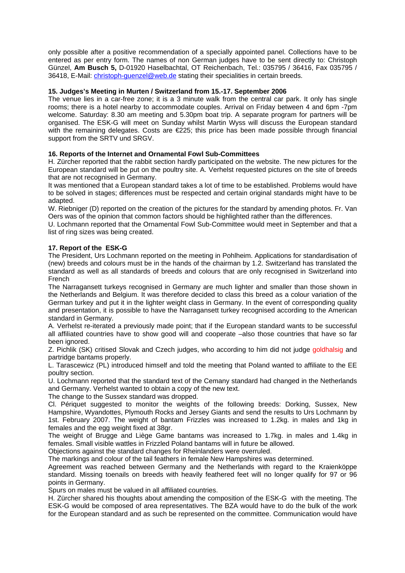only possible after a positive recommendation of a specially appointed panel. Collections have to be entered as per entry form. The names of non German judges have to be sent directly to: Christoph Günzel, **Am Busch 5,** D-01920 Haselbachtal, OT Reichenbach, Tel.: 035795 / 36416, Fax 035795 / 36418, E-Mail: [christoph-guenzel@web.de](mailto:christoph-guenzel@web.de) stating their specialities in certain breeds.

### **15. Judges's Meeting in Murten / Switzerland from 15.-17. September 2006**

The venue lies in a car-free zone; it is a 3 minute walk from the central car park. It only has single rooms; there is a hotel nearby to accommodate couples. Arrival on Friday between 4 and 6pm -7pm welcome. Saturday: 8.30 am meeting and 5.30pm boat trip. A separate program for partners will be organised. The ESK-G will meet on Sunday whilst Martin Wyss will discuss the European standard with the remaining delegates. Costs are €225; this price has been made possible through financial support from the SRTV und SRGV.

#### **16. Reports of the Internet and Ornamental Fowl Sub-Committees**

H. Zürcher reported that the rabbit section hardly participated on the website. The new pictures for the European standard will be put on the poultry site. A. Verhelst requested pictures on the site of breeds that are not recognised in Germany.

It was mentioned that a European standard takes a lot of time to be established. Problems would have to be solved in stages; differences must be respected and certain original standards might have to be adapted.

W. Riebniger (D) reported on the creation of the pictures for the standard by amending photos. Fr. Van Oers was of the opinion that common factors should be highlighted rather than the differences.

U. Lochmann reported that the Ornamental Fowl Sub-Committee would meet in September and that a list of ring sizes was being created.

#### **17. Report of the ESK-G**

The President, Urs Lochmann reported on the meeting in Pohlheim. Applications for standardisation of (new) breeds and colours must be in the hands of the chairman by 1.2. Switzerland has translated the standard as well as all standards of breeds and colours that are only recognised in Switzerland into French

The Narragansett turkeys recognised in Germany are much lighter and smaller than those shown in the Netherlands and Belgium. It was therefore decided to class this breed as a colour variation of the German turkey and put it in the lighter weight class in Germany. In the event of corresponding quality and presentation, it is possible to have the Narragansett turkey recognised according to the American standard in Germany.

A. Verhelst re-iterated a previously made point; that if the European standard wants to be successful all affiliated countries have to show good will and cooperate –also those countries that have so far been ignored.

Z. Pichlik (SK) critised Slovak and Czech judges, who according to him did not judge goldhalsig and partridge bantams properly.

L. Tarascewicz (PL) introduced himself and told the meeting that Poland wanted to affiliate to the EE poultry section.

U. Lochmann reported that the standard text of the Cemany standard had changed in the Netherlands and Germany. Verhelst wanted to obtain a copy of the new text.

The change to the Sussex standard was dropped.

Cl. Périquet suggested to monitor the weights of the following breeds: Dorking, Sussex, New Hampshire, Wyandottes, Plymouth Rocks and Jersey Giants and send the results to Urs Lochmann by 1st. February 2007. The weight of bantam Frizzles was increased to 1.2kg. in males and 1kg in females and the egg weight fixed at 38gr.

The weight of Brugge and Liège Game bantams was increased to 1.7kg. in males and 1.4kg in females. Small visible wattles in Frizzled Poland bantams will in future be allowed.

Objections against the standard changes for Rheinlanders were overruled.

The markings and colour of the tail feathers in female New Hampshires was determined.

Agreement was reached between Germany and the Netherlands with regard to the Kraienköppe standard. Missing toenails on breeds with heavily feathered feet will no longer qualify for 97 or 96 points in Germany.

Spurs on males must be valued in all affiliated countries.

H. Zürcher shared his thoughts about amending the composition of the ESK-G with the meeting. The ESK-G would be composed of area representatives. The BZA would have to do the bulk of the work for the European standard and as such be represented on the committee. Communication would have